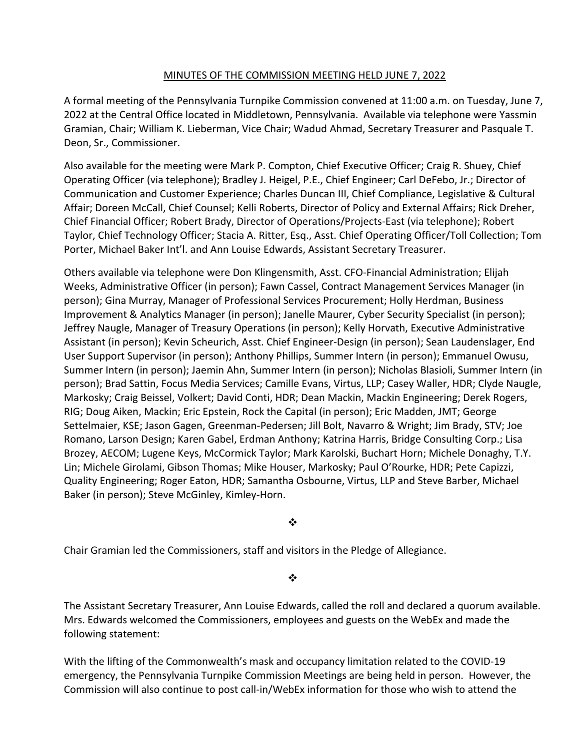## MINUTES OF THE COMMISSION MEETING HELD JUNE 7, 2022

A formal meeting of the Pennsylvania Turnpike Commission convened at 11:00 a.m. on Tuesday, June 7, 2022 at the Central Office located in Middletown, Pennsylvania. Available via telephone were Yassmin Gramian, Chair; William K. Lieberman, Vice Chair; Wadud Ahmad, Secretary Treasurer and Pasquale T. Deon, Sr., Commissioner.

Also available for the meeting were Mark P. Compton, Chief Executive Officer; Craig R. Shuey, Chief Operating Officer (via telephone); Bradley J. Heigel, P.E., Chief Engineer; Carl DeFebo, Jr.; Director of Communication and Customer Experience; Charles Duncan III, Chief Compliance, Legislative & Cultural Affair; Doreen McCall, Chief Counsel; Kelli Roberts, Director of Policy and External Affairs; Rick Dreher, Chief Financial Officer; Robert Brady, Director of Operations/Projects-East (via telephone); Robert Taylor, Chief Technology Officer; Stacia A. Ritter, Esq., Asst. Chief Operating Officer/Toll Collection; Tom Porter, Michael Baker Int'l. and Ann Louise Edwards, Assistant Secretary Treasurer.

Others available via telephone were Don Klingensmith, Asst. CFO-Financial Administration; Elijah Weeks, Administrative Officer (in person); Fawn Cassel, Contract Management Services Manager (in person); Gina Murray, Manager of Professional Services Procurement; Holly Herdman, Business Improvement & Analytics Manager (in person); Janelle Maurer, Cyber Security Specialist (in person); Jeffrey Naugle, Manager of Treasury Operations (in person); Kelly Horvath, Executive Administrative Assistant (in person); Kevin Scheurich, Asst. Chief Engineer-Design (in person); Sean Laudenslager, End User Support Supervisor (in person); Anthony Phillips, Summer Intern (in person); Emmanuel Owusu, Summer Intern (in person); Jaemin Ahn, Summer Intern (in person); Nicholas Blasioli, Summer Intern (in person); Brad Sattin, Focus Media Services; Camille Evans, Virtus, LLP; Casey Waller, HDR; Clyde Naugle, Markosky; Craig Beissel, Volkert; David Conti, HDR; Dean Mackin, Mackin Engineering; Derek Rogers, RIG; Doug Aiken, Mackin; Eric Epstein, Rock the Capital (in person); Eric Madden, JMT; George Settelmaier, KSE; Jason Gagen, Greenman-Pedersen; Jill Bolt, Navarro & Wright; Jim Brady, STV; Joe Romano, Larson Design; Karen Gabel, Erdman Anthony; Katrina Harris, Bridge Consulting Corp.; Lisa Brozey, AECOM; Lugene Keys, McCormick Taylor; Mark Karolski, Buchart Horn; Michele Donaghy, T.Y. Lin; Michele Girolami, Gibson Thomas; Mike Houser, Markosky; Paul O'Rourke, HDR; Pete Capizzi, Quality Engineering; Roger Eaton, HDR; Samantha Osbourne, Virtus, LLP and Steve Barber, Michael Baker (in person); Steve McGinley, Kimley-Horn.

❖

Chair Gramian led the Commissioners, staff and visitors in the Pledge of Allegiance.

 $\cdot$ 

The Assistant Secretary Treasurer, Ann Louise Edwards, called the roll and declared a quorum available. Mrs. Edwards welcomed the Commissioners, employees and guests on the WebEx and made the following statement:

With the lifting of the Commonwealth's mask and occupancy limitation related to the COVID-19 emergency, the Pennsylvania Turnpike Commission Meetings are being held in person. However, the Commission will also continue to post call-in/WebEx information for those who wish to attend the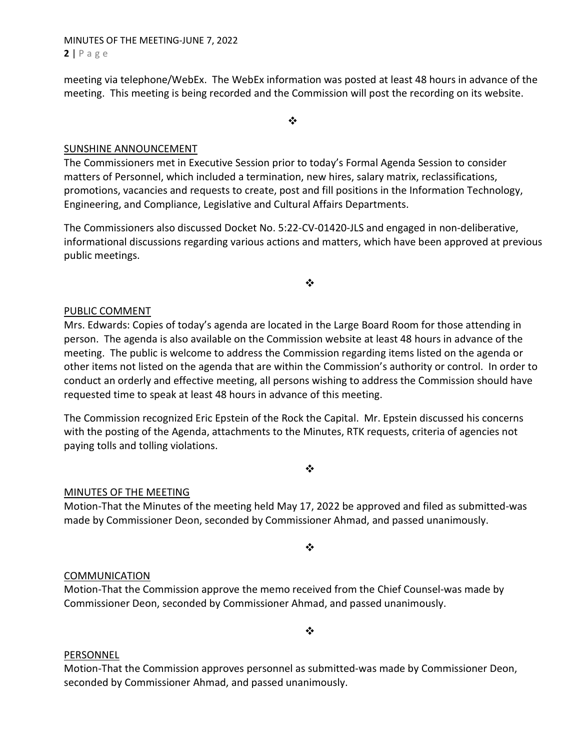MINUTES OF THE MEETING-JUNE 7, 2022  $2 | P \text{ a ge}$ 

meeting via telephone/WebEx. The WebEx information was posted at least 48 hours in advance of the meeting. This meeting is being recorded and the Commission will post the recording on its website.

❖

#### SUNSHINE ANNOUNCEMENT

The Commissioners met in Executive Session prior to today's Formal Agenda Session to consider matters of Personnel, which included a termination, new hires, salary matrix, reclassifications, promotions, vacancies and requests to create, post and fill positions in the Information Technology, Engineering, and Compliance, Legislative and Cultural Affairs Departments.

The Commissioners also discussed Docket No. 5:22-CV-01420-JLS and engaged in non-deliberative, informational discussions regarding various actions and matters, which have been approved at previous public meetings.

❖

#### PUBLIC COMMENT

Mrs. Edwards: Copies of today's agenda are located in the Large Board Room for those attending in person. The agenda is also available on the Commission website at least 48 hours in advance of the meeting. The public is welcome to address the Commission regarding items listed on the agenda or other items not listed on the agenda that are within the Commission's authority or control. In order to conduct an orderly and effective meeting, all persons wishing to address the Commission should have requested time to speak at least 48 hours in advance of this meeting.

The Commission recognized Eric Epstein of the Rock the Capital. Mr. Epstein discussed his concerns with the posting of the Agenda, attachments to the Minutes, RTK requests, criteria of agencies not paying tolls and tolling violations.

## $\cdot$

## MINUTES OF THE MEETING

Motion-That the Minutes of the meeting held May 17, 2022 be approved and filed as submitted-was made by Commissioner Deon, seconded by Commissioner Ahmad, and passed unanimously.

❖

#### COMMUNICATION

Motion-That the Commission approve the memo received from the Chief Counsel-was made by Commissioner Deon, seconded by Commissioner Ahmad, and passed unanimously.

#### $\cdot$

#### PERSONNEL

Motion-That the Commission approves personnel as submitted-was made by Commissioner Deon, seconded by Commissioner Ahmad, and passed unanimously.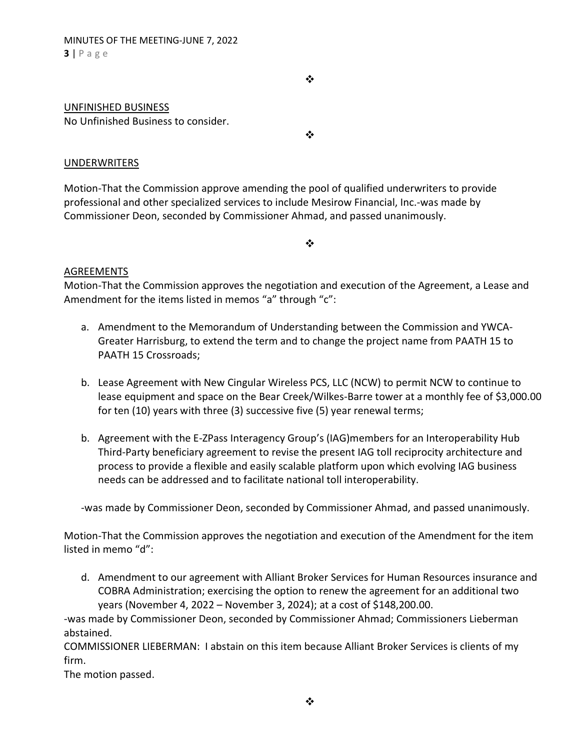❖

#### UNFINISHED BUSINESS

No Unfinished Business to consider.

❖

#### UNDERWRITERS

Motion-That the Commission approve amending the pool of qualified underwriters to provide professional and other specialized services to include Mesirow Financial, Inc.-was made by Commissioner Deon, seconded by Commissioner Ahmad, and passed unanimously.

 $\cdot$ 

#### AGREEMENTS

Motion-That the Commission approves the negotiation and execution of the Agreement, a Lease and Amendment for the items listed in memos "a" through "c":

- a. Amendment to the Memorandum of Understanding between the Commission and YWCA-Greater Harrisburg, to extend the term and to change the project name from PAATH 15 to PAATH 15 Crossroads;
- b. Lease Agreement with New Cingular Wireless PCS, LLC (NCW) to permit NCW to continue to lease equipment and space on the Bear Creek/Wilkes-Barre tower at a monthly fee of \$3,000.00 for ten (10) years with three (3) successive five (5) year renewal terms;
- b. Agreement with the E-ZPass Interagency Group's (IAG)members for an Interoperability Hub Third-Party beneficiary agreement to revise the present IAG toll reciprocity architecture and process to provide a flexible and easily scalable platform upon which evolving IAG business needs can be addressed and to facilitate national toll interoperability.

-was made by Commissioner Deon, seconded by Commissioner Ahmad, and passed unanimously.

Motion-That the Commission approves the negotiation and execution of the Amendment for the item listed in memo "d":

d. Amendment to our agreement with Alliant Broker Services for Human Resources insurance and COBRA Administration; exercising the option to renew the agreement for an additional two years (November 4, 2022 – November 3, 2024); at a cost of \$148,200.00.

-was made by Commissioner Deon, seconded by Commissioner Ahmad; Commissioners Lieberman abstained.

COMMISSIONER LIEBERMAN: I abstain on this item because Alliant Broker Services is clients of my firm.

The motion passed.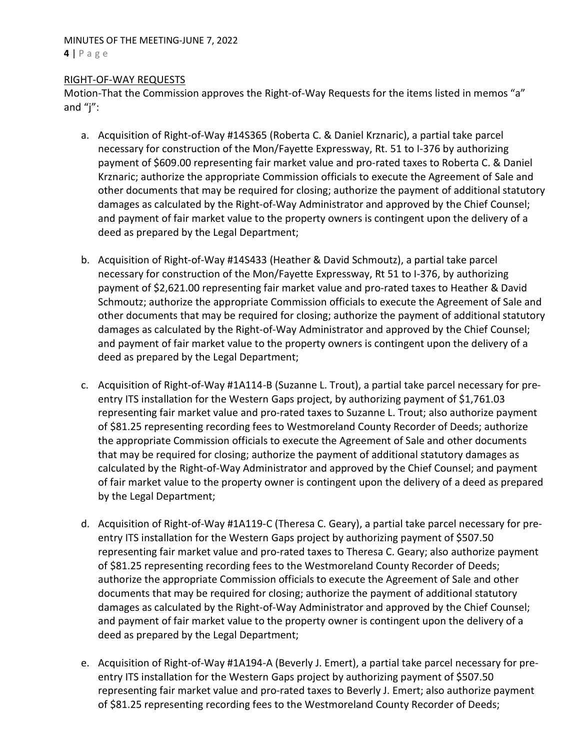#### MINUTES OF THE MEETING-JUNE 7, 2022  $4 | P \text{ a ge}$

#### RIGHT-OF-WAY REQUESTS

Motion-That the Commission approves the Right-of-Way Requests for the items listed in memos "a" and "j":

- a. Acquisition of Right-of-Way #14S365 (Roberta C. & Daniel Krznaric), a partial take parcel necessary for construction of the Mon/Fayette Expressway, Rt. 51 to I-376 by authorizing payment of \$609.00 representing fair market value and pro-rated taxes to Roberta C. & Daniel Krznaric; authorize the appropriate Commission officials to execute the Agreement of Sale and other documents that may be required for closing; authorize the payment of additional statutory damages as calculated by the Right-of-Way Administrator and approved by the Chief Counsel; and payment of fair market value to the property owners is contingent upon the delivery of a deed as prepared by the Legal Department;
- b. Acquisition of Right-of-Way #14S433 (Heather & David Schmoutz), a partial take parcel necessary for construction of the Mon/Fayette Expressway, Rt 51 to I-376, by authorizing payment of \$2,621.00 representing fair market value and pro-rated taxes to Heather & David Schmoutz; authorize the appropriate Commission officials to execute the Agreement of Sale and other documents that may be required for closing; authorize the payment of additional statutory damages as calculated by the Right-of-Way Administrator and approved by the Chief Counsel; and payment of fair market value to the property owners is contingent upon the delivery of a deed as prepared by the Legal Department;
- c. Acquisition of Right-of-Way #1A114-B (Suzanne L. Trout), a partial take parcel necessary for preentry ITS installation for the Western Gaps project, by authorizing payment of \$1,761.03 representing fair market value and pro-rated taxes to Suzanne L. Trout; also authorize payment of \$81.25 representing recording fees to Westmoreland County Recorder of Deeds; authorize the appropriate Commission officials to execute the Agreement of Sale and other documents that may be required for closing; authorize the payment of additional statutory damages as calculated by the Right-of-Way Administrator and approved by the Chief Counsel; and payment of fair market value to the property owner is contingent upon the delivery of a deed as prepared by the Legal Department;
- d. Acquisition of Right-of-Way #1A119-C (Theresa C. Geary), a partial take parcel necessary for preentry ITS installation for the Western Gaps project by authorizing payment of \$507.50 representing fair market value and pro-rated taxes to Theresa C. Geary; also authorize payment of \$81.25 representing recording fees to the Westmoreland County Recorder of Deeds; authorize the appropriate Commission officials to execute the Agreement of Sale and other documents that may be required for closing; authorize the payment of additional statutory damages as calculated by the Right-of-Way Administrator and approved by the Chief Counsel; and payment of fair market value to the property owner is contingent upon the delivery of a deed as prepared by the Legal Department;
- e. Acquisition of Right-of-Way #1A194-A (Beverly J. Emert), a partial take parcel necessary for preentry ITS installation for the Western Gaps project by authorizing payment of \$507.50 representing fair market value and pro-rated taxes to Beverly J. Emert; also authorize payment of \$81.25 representing recording fees to the Westmoreland County Recorder of Deeds;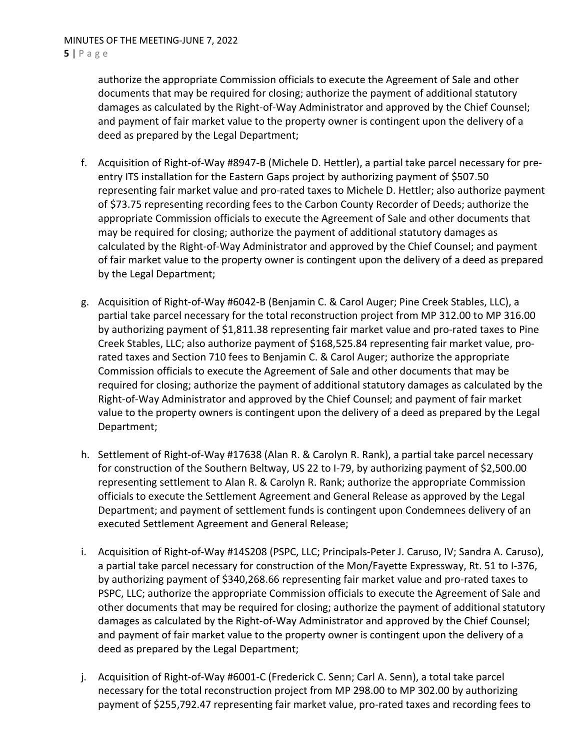authorize the appropriate Commission officials to execute the Agreement of Sale and other documents that may be required for closing; authorize the payment of additional statutory damages as calculated by the Right-of-Way Administrator and approved by the Chief Counsel; and payment of fair market value to the property owner is contingent upon the delivery of a deed as prepared by the Legal Department;

- f. Acquisition of Right-of-Way #8947-B (Michele D. Hettler), a partial take parcel necessary for preentry ITS installation for the Eastern Gaps project by authorizing payment of \$507.50 representing fair market value and pro-rated taxes to Michele D. Hettler; also authorize payment of \$73.75 representing recording fees to the Carbon County Recorder of Deeds; authorize the appropriate Commission officials to execute the Agreement of Sale and other documents that may be required for closing; authorize the payment of additional statutory damages as calculated by the Right-of-Way Administrator and approved by the Chief Counsel; and payment of fair market value to the property owner is contingent upon the delivery of a deed as prepared by the Legal Department;
- g. Acquisition of Right-of-Way #6042-B (Benjamin C. & Carol Auger; Pine Creek Stables, LLC), a partial take parcel necessary for the total reconstruction project from MP 312.00 to MP 316.00 by authorizing payment of \$1,811.38 representing fair market value and pro-rated taxes to Pine Creek Stables, LLC; also authorize payment of \$168,525.84 representing fair market value, prorated taxes and Section 710 fees to Benjamin C. & Carol Auger; authorize the appropriate Commission officials to execute the Agreement of Sale and other documents that may be required for closing; authorize the payment of additional statutory damages as calculated by the Right-of-Way Administrator and approved by the Chief Counsel; and payment of fair market value to the property owners is contingent upon the delivery of a deed as prepared by the Legal Department;
- h. Settlement of Right-of-Way #17638 (Alan R. & Carolyn R. Rank), a partial take parcel necessary for construction of the Southern Beltway, US 22 to I-79, by authorizing payment of \$2,500.00 representing settlement to Alan R. & Carolyn R. Rank; authorize the appropriate Commission officials to execute the Settlement Agreement and General Release as approved by the Legal Department; and payment of settlement funds is contingent upon Condemnees delivery of an executed Settlement Agreement and General Release;
- i. Acquisition of Right-of-Way #14S208 (PSPC, LLC; Principals-Peter J. Caruso, IV; Sandra A. Caruso), a partial take parcel necessary for construction of the Mon/Fayette Expressway, Rt. 51 to I-376, by authorizing payment of \$340,268.66 representing fair market value and pro-rated taxes to PSPC, LLC; authorize the appropriate Commission officials to execute the Agreement of Sale and other documents that may be required for closing; authorize the payment of additional statutory damages as calculated by the Right-of-Way Administrator and approved by the Chief Counsel; and payment of fair market value to the property owner is contingent upon the delivery of a deed as prepared by the Legal Department;
- j. Acquisition of Right-of-Way #6001-C (Frederick C. Senn; Carl A. Senn), a total take parcel necessary for the total reconstruction project from MP 298.00 to MP 302.00 by authorizing payment of \$255,792.47 representing fair market value, pro-rated taxes and recording fees to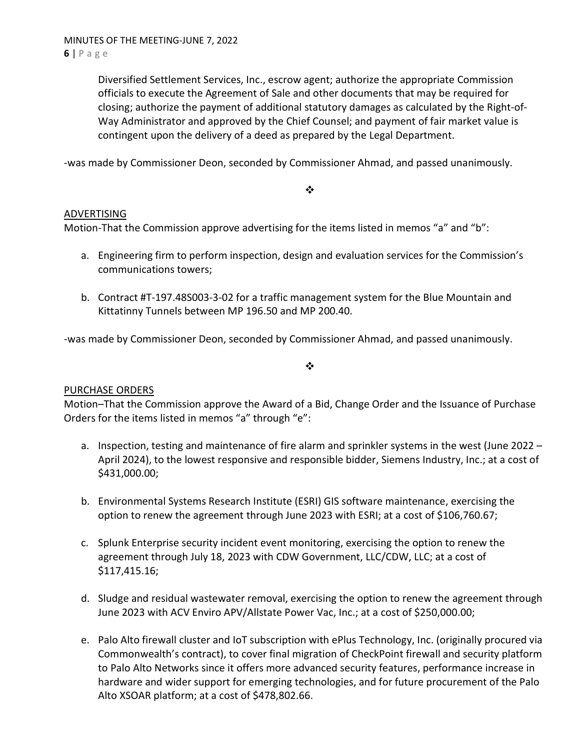Diversified Settlement Services, Inc., escrow agent; authorize the appropriate Commission officials to execute the Agreement of Sale and other documents that may be required for closing; authorize the payment of additional statutory damages as calculated by the Right-of-Way Administrator and approved by the Chief Counsel; and payment of fair market value is contingent upon the delivery of a deed as prepared by the Legal Department.

-was made by Commissioner Deon, seconded by Commissioner Ahmad, and passed unanimously.

#### ❖

## ADVERTISING

Motion-That the Commission approve advertising for the items listed in memos "a" and "b":

- a. Engineering firm to perform inspection, design and evaluation services for the Commission's communications towers;
- b. Contract #T-197.48S003-3-02 for a traffic management system for the Blue Mountain and Kittatinny Tunnels between MP 196.50 and MP 200.40.

-was made by Commissioner Deon, seconded by Commissioner Ahmad, and passed unanimously.

 $\cdot$ 

## PURCHASE ORDERS

Motion–That the Commission approve the Award of a Bid, Change Order and the Issuance of Purchase Orders for the items listed in memos "a" through "e":

- a. Inspection, testing and maintenance of fire alarm and sprinkler systems in the west (June 2022 April 2024), to the lowest responsive and responsible bidder, Siemens Industry, Inc.; at a cost of \$431,000.00;
- b. Environmental Systems Research Institute (ESRI) GIS software maintenance, exercising the option to renew the agreement through June 2023 with ESRI; at a cost of \$106,760.67;
- c. Splunk Enterprise security incident event monitoring, exercising the option to renew the agreement through July 18, 2023 with CDW Government, LLC/CDW, LLC; at a cost of \$117,415.16;
- d. Sludge and residual wastewater removal, exercising the option to renew the agreement through June 2023 with ACV Enviro APV/Allstate Power Vac, Inc.; at a cost of \$250,000.00;
- e. Palo Alto firewall cluster and IoT subscription with ePlus Technology, Inc. (originally procured via Commonwealth's contract), to cover final migration of CheckPoint firewall and security platform to Palo Alto Networks since it offers more advanced security features, performance increase in hardware and wider support for emerging technologies, and for future procurement of the Palo Alto XSOAR platform; at a cost of \$478,802.66.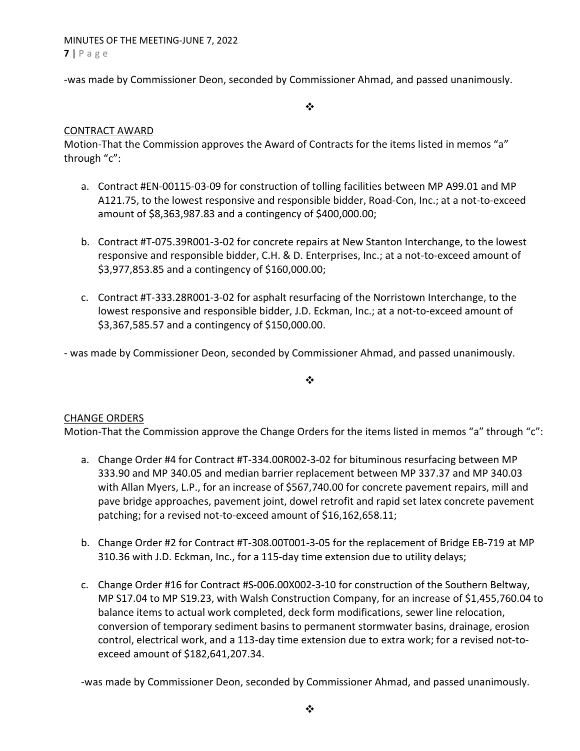-was made by Commissioner Deon, seconded by Commissioner Ahmad, and passed unanimously.

 $\cdot$ 

## CONTRACT AWARD

Motion-That the Commission approves the Award of Contracts for the items listed in memos "a" through "c":

- a. Contract #EN-00115-03-09 for construction of tolling facilities between MP A99.01 and MP A121.75, to the lowest responsive and responsible bidder, Road-Con, Inc.; at a not-to-exceed amount of \$8,363,987.83 and a contingency of \$400,000.00;
- b. Contract #T-075.39R001-3-02 for concrete repairs at New Stanton Interchange, to the lowest responsive and responsible bidder, C.H. & D. Enterprises, Inc.; at a not-to-exceed amount of \$3,977,853.85 and a contingency of \$160,000.00;
- c. Contract #T-333.28R001-3-02 for asphalt resurfacing of the Norristown Interchange, to the lowest responsive and responsible bidder, J.D. Eckman, Inc.; at a not-to-exceed amount of \$3,367,585.57 and a contingency of \$150,000.00.

- was made by Commissioner Deon, seconded by Commissioner Ahmad, and passed unanimously.

 $\cdot$ 

## CHANGE ORDERS

Motion-That the Commission approve the Change Orders for the items listed in memos "a" through "c":

- a. Change Order #4 for Contract #T-334.00R002-3-02 for bituminous resurfacing between MP 333.90 and MP 340.05 and median barrier replacement between MP 337.37 and MP 340.03 with Allan Myers, L.P., for an increase of \$567,740.00 for concrete pavement repairs, mill and pave bridge approaches, pavement joint, dowel retrofit and rapid set latex concrete pavement patching; for a revised not-to-exceed amount of \$16,162,658.11;
- b. Change Order #2 for Contract #T-308.00T001-3-05 for the replacement of Bridge EB-719 at MP 310.36 with J.D. Eckman, Inc., for a 115-day time extension due to utility delays;
- c. Change Order #16 for Contract #S-006.00X002-3-10 for construction of the Southern Beltway, MP S17.04 to MP S19.23, with Walsh Construction Company, for an increase of \$1,455,760.04 to balance items to actual work completed, deck form modifications, sewer line relocation, conversion of temporary sediment basins to permanent stormwater basins, drainage, erosion control, electrical work, and a 113-day time extension due to extra work; for a revised not-toexceed amount of \$182,641,207.34.

-was made by Commissioner Deon, seconded by Commissioner Ahmad, and passed unanimously.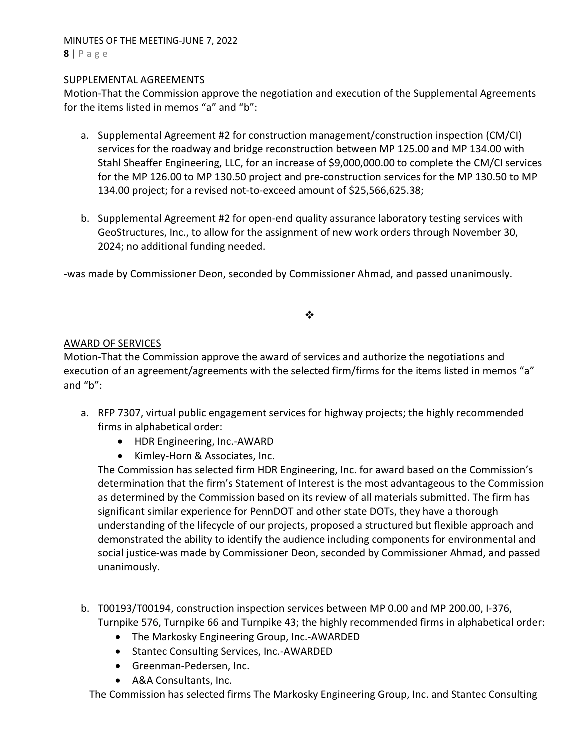MINUTES OF THE MEETING-JUNE 7, 2022  $8 | P \text{age}$ 

#### SUPPLEMENTAL AGREEMENTS

Motion-That the Commission approve the negotiation and execution of the Supplemental Agreements for the items listed in memos "a" and "b":

- a. Supplemental Agreement #2 for construction management/construction inspection (CM/CI) services for the roadway and bridge reconstruction between MP 125.00 and MP 134.00 with Stahl Sheaffer Engineering, LLC, for an increase of \$9,000,000.00 to complete the CM/CI services for the MP 126.00 to MP 130.50 project and pre-construction services for the MP 130.50 to MP 134.00 project; for a revised not-to-exceed amount of \$25,566,625.38;
- b. Supplemental Agreement #2 for open-end quality assurance laboratory testing services with GeoStructures, Inc., to allow for the assignment of new work orders through November 30, 2024; no additional funding needed.

-was made by Commissioner Deon, seconded by Commissioner Ahmad, and passed unanimously.

❖

#### AWARD OF SERVICES

Motion-That the Commission approve the award of services and authorize the negotiations and execution of an agreement/agreements with the selected firm/firms for the items listed in memos "a" and "b":

- a. RFP 7307, virtual public engagement services for highway projects; the highly recommended firms in alphabetical order:
	- HDR Engineering, Inc.-AWARD
	- Kimley-Horn & Associates, Inc.

The Commission has selected firm HDR Engineering, Inc. for award based on the Commission's determination that the firm's Statement of Interest is the most advantageous to the Commission as determined by the Commission based on its review of all materials submitted. The firm has significant similar experience for PennDOT and other state DOTs, they have a thorough understanding of the lifecycle of our projects, proposed a structured but flexible approach and demonstrated the ability to identify the audience including components for environmental and social justice-was made by Commissioner Deon, seconded by Commissioner Ahmad, and passed unanimously.

- b. T00193/T00194, construction inspection services between MP 0.00 and MP 200.00, I-376, Turnpike 576, Turnpike 66 and Turnpike 43; the highly recommended firms in alphabetical order:
	- The Markosky Engineering Group, Inc.-AWARDED
	- Stantec Consulting Services, Inc.-AWARDED
	- Greenman-Pedersen, Inc.
	- A&A Consultants, Inc.

The Commission has selected firms The Markosky Engineering Group, Inc. and Stantec Consulting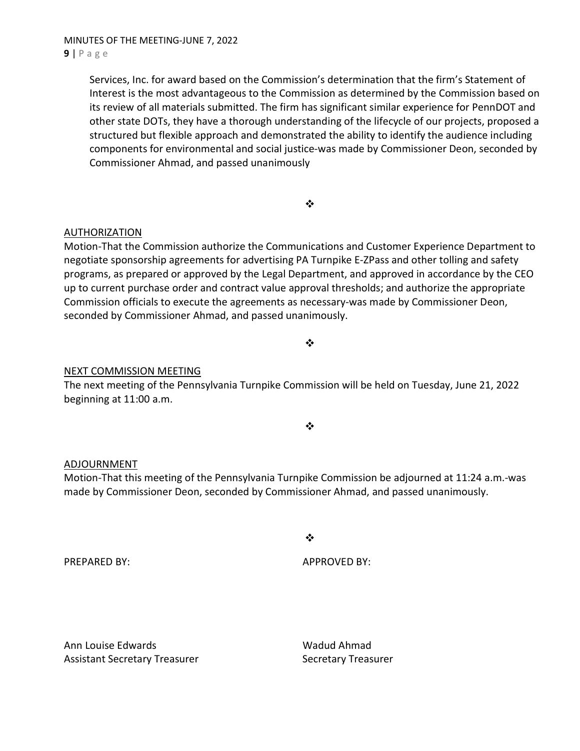Services, Inc. for award based on the Commission's determination that the firm's Statement of Interest is the most advantageous to the Commission as determined by the Commission based on its review of all materials submitted. The firm has significant similar experience for PennDOT and other state DOTs, they have a thorough understanding of the lifecycle of our projects, proposed a structured but flexible approach and demonstrated the ability to identify the audience including components for environmental and social justice-was made by Commissioner Deon, seconded by Commissioner Ahmad, and passed unanimously

❖

## AUTHORIZATION

Motion-That the Commission authorize the Communications and Customer Experience Department to negotiate sponsorship agreements for advertising PA Turnpike E-ZPass and other tolling and safety programs, as prepared or approved by the Legal Department, and approved in accordance by the CEO up to current purchase order and contract value approval thresholds; and authorize the appropriate Commission officials to execute the agreements as necessary-was made by Commissioner Deon, seconded by Commissioner Ahmad, and passed unanimously.

# NEXT COMMISSION MEETING

The next meeting of the Pennsylvania Turnpike Commission will be held on Tuesday, June 21, 2022 beginning at 11:00 a.m.

❖

❖

 $\cdot$ 

#### ADJOURNMENT

Motion-That this meeting of the Pennsylvania Turnpike Commission be adjourned at 11:24 a.m.-was made by Commissioner Deon, seconded by Commissioner Ahmad, and passed unanimously.

PREPARED BY: APPROVED BY:

Ann Louise Edwards New York Wadud Ahmad Assistant Secretary Treasurer Secretary Treasurer